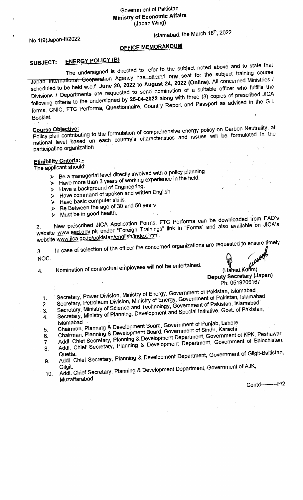Government of Pakistan **Ministry of Economic Affairs** (Japan Wing)

No.1(9)Japan-II/2022

## Islamabad, the March 18th, 2022

## **OFFICE MEMORANDUM**

## **ENERGY POLICY (B)** SUBJECT:

The undersigned is directed to refer to the subject noted above and to state that Japan International Cooperation Agency has offered one seat for the subject training course scheduled to be held w.e.f. June 20, 2022 to August 24, 2022 (Online). All concerned Ministries / Divisions / Departments are requested to send nomination of a suitable officer who fulfills the following criteria to the undersigned by 25-04-2022 along with three (3) copies of prescribed JICA forms, CNIC, FTC Performa, Questionnaire, Country Report and Passport as advised in the G.I. Booklet.

Policy plan contributing to the formulation of comprehensive energy policy on Carbon Neutrality, at national level based on each country's characteristics and issues will be formulated in the participating organization

## **Eligibility Criteria: -**

The applicant should:

- > Be a managerial level directly involved with a policy planning
- > Have more than 3 years of working experience in the field.
- > Have a background of Engineering.
- > Have command of spoken and written English
- > Have basic computer skills.
- $\triangleright$  Be Between the age of 30 and 50 years
- $\triangleright$  Must be in good health.

New prescribed JICA Application Forms, FTC Performa can be downloaded from EAD's website www.ead.gov.pk under "Foreign Trainings" link in "Forms" and also available on JICA's website www.jica.go.jp/pakistan/english/index.html.

In case of selection of the officer the concerned organizations are requested to ensure timely  $3<sub>1</sub>$ NOC.

Nomination of contractual employees will not be entertained.  $\overline{4}$ .

 $H$ <br>(Hamid Karim) **Deputy Secretary (Japan)** Ph: 0519206167

- Secretary, Power Division, Ministry of Energy, Government of Pakistan, Islamabad Secretary, Petroleum Division, Ministry of Energy, Government of Pakistan, Islamabad 1.
- Secretary, Ministry of Science and Technology, Government of Pakistan, Islamabad  $2.$
- Secretary, Ministry of Planning, Development and Special Initiative, Govt. of Pakistan,  $3.$ 4.
- Chairman, Planning & Development Board, Government of Punjab, Lahore
- 5.
- Chairman, Planning & Development Board, Government of Sindh, Karachi Addl. Chief Secretary, Planning & Development Department, Government of KPK, Peshawar 6.
- Addl. Chief Secretary, Planning & Development Department, Government of Balochistan, 7.
- 8.
- Addl. Chief Secretary, Planning & Development Department, Government of Gilgit-Baltistan, 9.
- Addl. Chief Secretary, Planning & Development Department, Government of AJK, Gilait.  $10.$ Muzaffarabad.

Contd---------P/2